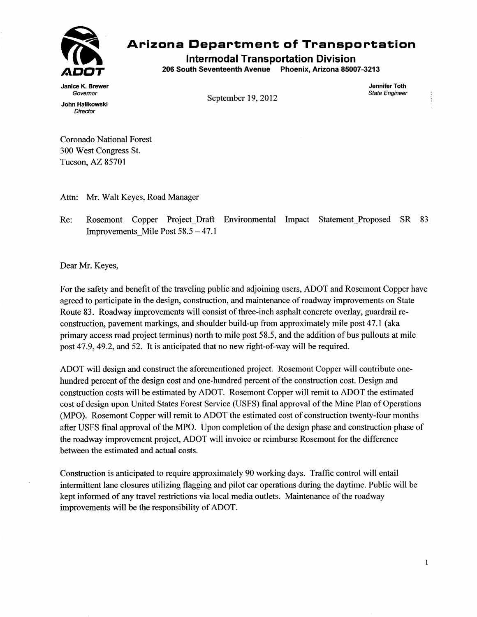

## **117 1 Arizona Department of Transportation**

**intermodal Transportation Division** 

**206 South Seventeenth Avenue Phoenix, Arizona 85007-3213** 

**Janice K. Brewer Jennifer Toth John Halikowski** 

*Governor State Engineer* **September 19, 2012** 

*Director* 

**Coronado National Forest 300 West Congress St. Tucson, AZ 85701** 

**Attn: Mr. Walt Keyes, Road Manager** 

**Re: Rosemont Copper Project\_Draft Environmental Impact Statement\_Proposed SR 83 Improvements\_Mile Post 58.5 — 47.1** 

**Dear Mr. Keyes,** 

**For the safety and benefit of the traveling public and adjoining users, ADOT and Rosemont Copper have agreed to participate in the design, construction, and maintenance of roadway improvements on State Route 83. Roadway improvements will consist of three-inch asphalt concrete overlay, guardrail reconstruction, pavement markings, and shoulder build-up from approximately mile post 47.1 (aka primary access road project terminus) north to mile post 58.5, and the addition of bus pullouts at mile post 47.9, 49.2, and 52. It is anticipated that no new right-of-way will be required.** 

**ADOT will design and construct the aforementioned project. Rosemont Copper will contribute onehundred percent of the design cost and one-hundred percent of the construction cost. Design and construction costs will be estimated by ADOT. Rosemont Copper will remit to ADOT the estimated cost of design upon United States Forest Service (USFS) final approval of the Mine Plan of Operations (MPO). Rosemont Copper will remit to ADOT the estimated cost of construction twenty-four months after USFS final approval of the MPO. Upon completion of the design phase and construction phase of the roadway improvement project, ADOT will invoice or reimburse Rosemont for the difference between the estimated and actual costs.** 

**Construction is anticipated to require approximately 90 working days. Traffic control will entail intermittent lane closures utilizing flagging and pilot car operations during the daytime. Public will be kept informed of any travel restrictions via local media outlets. Maintenance of the roadway improvements will be the responsibility of ADOT.**